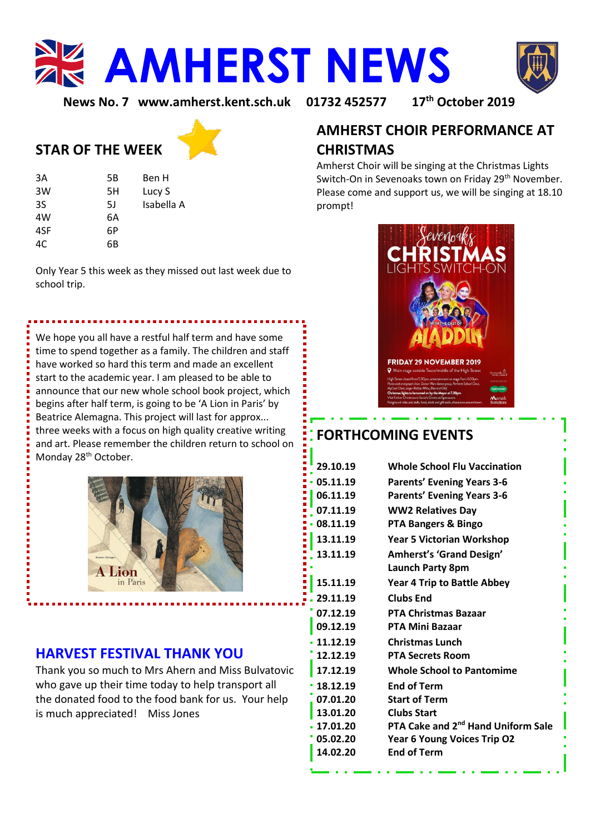**AMHERST NEWS** 



**News No. 7 [www.amherst.kent.sch.uk](http://www.amherst.kent.sch.uk/) 01732 452577 17th October 2019**

# **AMHERST CHOIR PERFORMANCE AT CHRISTMAS**

Amherst Choir will be singing at the Christmas Lights Switch-On in Sevenoaks town on Friday 29<sup>th</sup> November. Please come and support us, we will be singing at 18.10 prompt!



# **FORTHCOMING EVENTS**

| 29.10.19 | <b>Whole School Flu Vaccination</b>            |
|----------|------------------------------------------------|
| 05.11.19 | <b>Parents' Evening Years 3-6</b>              |
| 06.11.19 | <b>Parents' Evening Years 3-6</b>              |
| 07.11.19 | <b>WW2 Relatives Day</b>                       |
| 08.11.19 | PTA Bangers & Bingo                            |
| 13.11.19 | <b>Year 5 Victorian Workshop</b>               |
| 13.11.19 | <b>Amherst's 'Grand Design'</b>                |
|          | <b>Launch Party 8pm</b>                        |
| 15.11.19 | <b>Year 4 Trip to Battle Abbey</b>             |
| 29.11.19 | Clubs End                                      |
| 07.12.19 | <b>PTA Christmas Bazaar</b>                    |
| 09.12.19 | PTA Mini Bazaar                                |
| 11.12.19 | <b>Christmas Lunch</b>                         |
| 12.12.19 | <b>PTA Secrets Room</b>                        |
| 17.12.19 | <b>Whole School to Pantomime</b>               |
| 18.12.19 | <b>End of Term</b>                             |
| 07.01.20 | <b>Start of Term</b>                           |
| 13.01.20 | <b>Clubs Start</b>                             |
| 17.01.20 | PTA Cake and 2 <sup>nd</sup> Hand Uniform Sale |
| 05.02.20 | Year 6 Young Voices Trip O2                    |
| 14.02.20 | <b>End of Term</b>                             |
|          |                                                |

# **STAR OF THE WEEK**

| 3A  | 5Β | Ben H      |
|-----|----|------------|
| 3W  | 5H | Lucy S     |
| 3S  | 51 | Isabella A |
| 4W  | 6А |            |
| 4SF | 6P |            |
| 4C  | 6В |            |

Only Year 5 this week as they missed out last week due to school trip.

We hope you all have a restful half term and have some time to spend together as a family. The children and staff have worked so hard this term and made an excellent start to the academic year. I am pleased to be able to announce that our new whole school book project, which begins after half term, is going to be 'A Lion in Paris' by Beatrice Alemagna. This project will last for approx... three weeks with a focus on high quality creative writing and art. Please remember the children return to school on Monday 28<sup>th</sup> October.



# **HARVEST FESTIVAL THANK YOU**

Thank you so much to Mrs Ahern and Miss Bulvatovic who gave up their time today to help transport all the donated food to the food bank for us. Your help is much appreciated! Miss Jones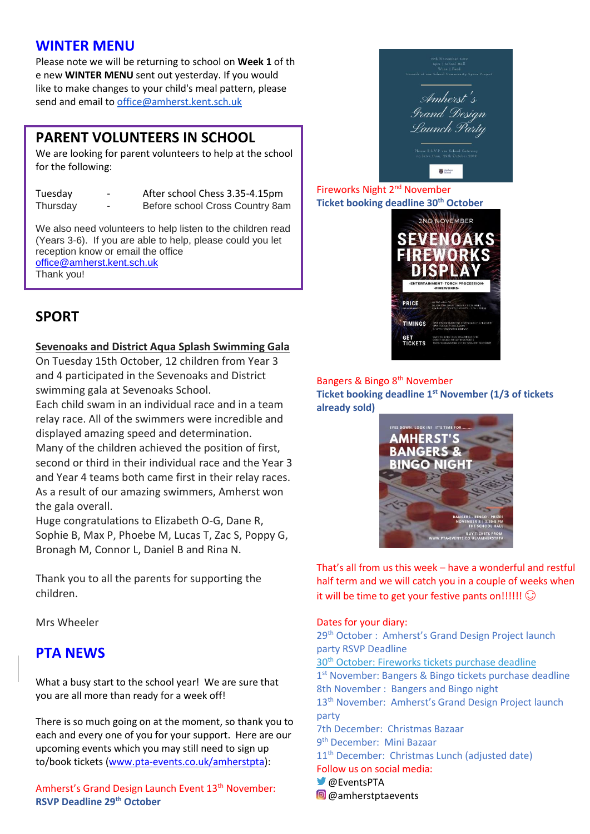### **WINTER MENU**

Please note we will be returning to school on **Week 1** of th e new **WINTER MENU** sent out yesterday. If you would like to make changes to your child's meal pattern, please send and email to office@amherst.kent.sch.uk

### **PARENT VOLUNTEERS IN SCHOOL**

We are looking for parent volunteers to help at the school for the following:

Tuesday - After school Chess 3.35-4.15pm

Thursday - Before school Cross Country 8am

We also need volunteers to help listen to the children read (Years 3-6). If you are able to help, please could you let reception know or email the office

[office@amherst.kent.sch.uk](mailto:office@amherst.kent.sch.uk) Thank you!

Amherst **Grand Design** Launch Party  $\sum_{k=1}^{n} \frac{\lambda_{k}}{\lambda_{k}}$ 

Fireworks Night 2nd November **Ticket booking deadline 30th October**



# **SPORT**

### **Sevenoaks and District Aqua Splash Swimming Gala**

On Tuesday 15th October, 12 children from Year 3 and 4 participated in the Sevenoaks and District swimming gala at Sevenoaks School.

Each child swam in an individual race and in a team relay race. All of the swimmers were incredible and displayed amazing speed and determination. Many of the children achieved the position of first, second or third in their individual race and the Year 3 and Year 4 teams both came first in their relay races. As a result of our amazing swimmers, Amherst won the gala overall.

Huge congratulations to Elizabeth O-G, Dane R, Sophie B, Max P, Phoebe M, Lucas T, Zac S, Poppy G, Bronagh M, Connor L, Daniel B and Rina N.

Thank you to all the parents for supporting the children.

Mrs Wheeler

# **PTA NEWS**

What a busy start to the school year! We are sure that you are all more than ready for a week off!

There is so much going on at the moment, so thank you to each and every one of you for your support. Here are our upcoming events which you may still need to sign up to/book tickets [\(www.pta-events.co.uk/amherstpta\)](http://www.pta-events.co.uk/amherstpta):

Amherst's Grand Design Launch Event 13<sup>th</sup> November: **RSVP Deadline 29th October**

### Bangers & Bingo 8th November

**Ticket booking deadline 1st November (1/3 of tickets already sold)**



That's all from us this week – have a wonderful and restful half term and we will catch you in a couple of weeks when it will be time to get your festive pants on!!!!!!  $\odot$ 

### Dates for your diary:

29<sup>th</sup> October : Amherst's Grand Design Project launch party RSVP Deadline 30<sup>th</sup> October: Fireworks tickets purchase deadline 1<sup>st</sup> November: Bangers & Bingo tickets purchase deadline 8th November : Bangers and Bingo night 13<sup>th</sup> November: Amherst's Grand Design Project launch party 7th December: Christmas Bazaar 9 th December: Mini Bazaar 11<sup>th</sup> December: Christmas Lunch (adjusted date) Follow us on social media: **@EventsPTA @** @amherstptaevents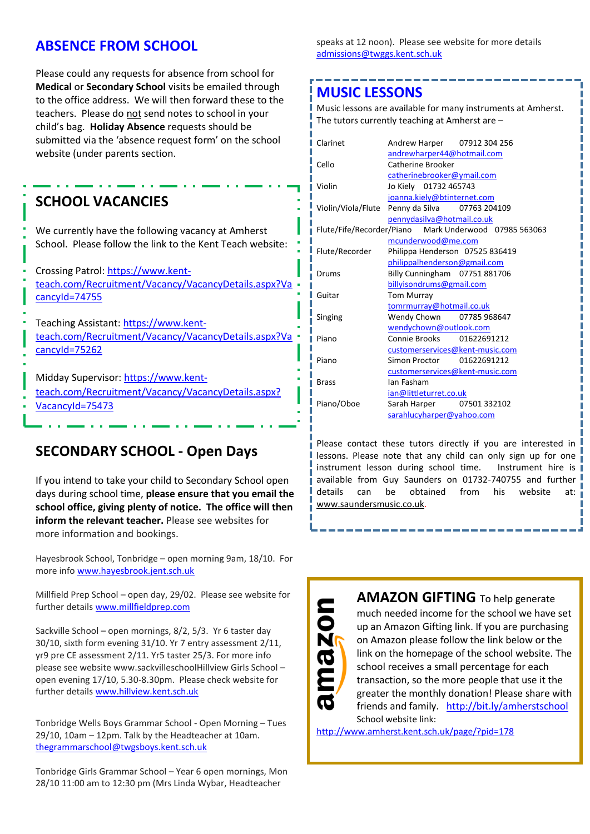### **ABSENCE FROM SCHOOL**

Please could any requests for absence from school for **Medical** or **Secondary School** visits be emailed through to the office address. We will then forward these to the teachers. Please do not send notes to school in your child's bag. **Holiday Absence** requests should be submitted via the 'absence request form' on the school website (under parents section.

# **SCHOOL VACANCIES**

We currently have the following vacancy at Amherst School. Please follow the link to the Kent Teach website:

Crossing Patrol: [https://www.kent](https://www.kent-teach.com/Recruitment/Vacancy/VacancyDetails.aspx?VacancyId=74755)[teach.com/Recruitment/Vacancy/VacancyDetails.aspx?Va](https://www.kent-teach.com/Recruitment/Vacancy/VacancyDetails.aspx?VacancyId=74755) [cancyId=74755](https://www.kent-teach.com/Recruitment/Vacancy/VacancyDetails.aspx?VacancyId=74755)

Teaching Assistant: [https://www.kent](https://www.kent-teach.com/Recruitment/Vacancy/VacancyDetails.aspx?VacancyId=75262)[teach.com/Recruitment/Vacancy/VacancyDetails.aspx?Va](https://www.kent-teach.com/Recruitment/Vacancy/VacancyDetails.aspx?VacancyId=75262) [cancyId=75262](https://www.kent-teach.com/Recruitment/Vacancy/VacancyDetails.aspx?VacancyId=75262)

Midday Supervisor: [https://www.kent](https://www.kent-teach.com/Recruitment/Vacancy/VacancyDetails.aspx?VacancyId=75473)[teach.com/Recruitment/Vacancy/VacancyDetails.aspx?](https://www.kent-teach.com/Recruitment/Vacancy/VacancyDetails.aspx?VacancyId=75473) [VacancyId=75473](https://www.kent-teach.com/Recruitment/Vacancy/VacancyDetails.aspx?VacancyId=75473)

# **SECONDARY SCHOOL - Open Days**

If you intend to take your child to Secondary School open days during school time, **please ensure that you email the school office, giving plenty of notice. The office will then inform the relevant teacher.** Please see websites for more information and bookings.

Hayesbrook School, Tonbridge – open morning 9am, 18/10. For more info [www.hayesbrook.jent.sch.uk](http://www.hayesbrook.jent.sch.uk/)

Millfield Prep School – open day, 29/02. Please see website for further details [www.millfieldprep.com](http://www.millfieldprep.com/)

Sackville School – open mornings, 8/2, 5/3. Yr 6 taster day 30/10, sixth form evening 31/10. Yr 7 entry assessment 2/11, yr9 pre CE assessment 2/11. Yr5 taster 25/3. For more info please see website www.sackvilleschoolHillview Girls School – open evening 17/10, 5.30-8.30pm. Please check website for further details [www.hillview.kent.sch.uk](http://www.hillview.kent.sch.uk/)

Tonbridge Wells Boys Grammar School - Open Morning – Tues 29/10, 10am – 12pm. Talk by the Headteacher at 10am. [thegrammarschool@twgsboys.kent.sch.uk](mailto:thegrammarschool@twgsboys.kent.sch.uk)

Tonbridge Girls Grammar School – Year 6 open mornings, Mon 28/10 11:00 am to 12:30 pm (Mrs Linda Wybar, Headteacher

speaks at 12 noon). Please see website for more details [admissions@twggs.kent.sch.uk](mailto:admissions@twggs.kent.sch.uk)

### **MUSIC LESSONS**

Music lessons are available for many instruments at Amherst. The tutors currently teaching at Amherst are –

| Clarinet           | Andrew Harper 07912 304 256     |                                                       |  |
|--------------------|---------------------------------|-------------------------------------------------------|--|
|                    | andrewharper44@hotmail.com      |                                                       |  |
| Cello              | Catherine Brooker               |                                                       |  |
|                    | catherinebrooker@ymail.com      |                                                       |  |
| Violin             | Jo Kiely 01732 465743           |                                                       |  |
|                    | joanna.kiely@btinternet.com     |                                                       |  |
| Violin/Viola/Flute | Penny da Silva 07763 204109     |                                                       |  |
|                    | pennydasilva@hotmail.co.uk      |                                                       |  |
|                    |                                 | Flute/Fife/Recorder/Piano Mark Underwood 07985 563063 |  |
|                    | mcunderwood@me.com              |                                                       |  |
| Flute/Recorder     | Philippa Henderson 07525 836419 |                                                       |  |
|                    | philippalhenderson@gmail.com    |                                                       |  |
| Drums              | Billy Cunningham 07751 881706   |                                                       |  |
|                    | billyisondrums@gmail.com        |                                                       |  |
| Guitar             | <b>Tom Murray</b>               |                                                       |  |
|                    | tomrmurray@hotmail.co.uk        |                                                       |  |
| Singing            | Wendy Chown 07785 968647        |                                                       |  |
|                    | wendychown@outlook.com          |                                                       |  |
| Piano              | Connie Brooks 01622691212       |                                                       |  |
|                    | customerservices@kent-music.com |                                                       |  |
| Piano              | Simon Proctor 01622691212       |                                                       |  |
|                    | customerservices@kent-music.com |                                                       |  |
| <b>Brass</b>       | Ian Fasham                      |                                                       |  |
|                    | ian@littleturret.co.uk          |                                                       |  |
| Piano/Oboe         | Sarah Harper 07501 332102       |                                                       |  |
|                    | sarahlucyharper@yahoo.com       |                                                       |  |

Please contact these tutors directly if you are interested in lessons. Please note that any child can only sign up for one instrument lesson during school time. Instrument hire is available from Guy Saunders on 01732-740755 and further details can be obtained from his website at: [www.saundersmusic.co.uk.](http://www.saundersmusic.co.uk/)



**AMAZON GIFTING** To help generate much needed income for the school we have set up an Amazon Gifting link. If you are purchasing on Amazon please follow the link below or the link on the homepage of the school website. The

school receives a small percentage for each transaction, so the more people that use it the greater the monthly donation! Please share with friends and family. <http://bit.ly/amherstschool> School website link:

<http://www.amherst.kent.sch.uk/page/?pid=178>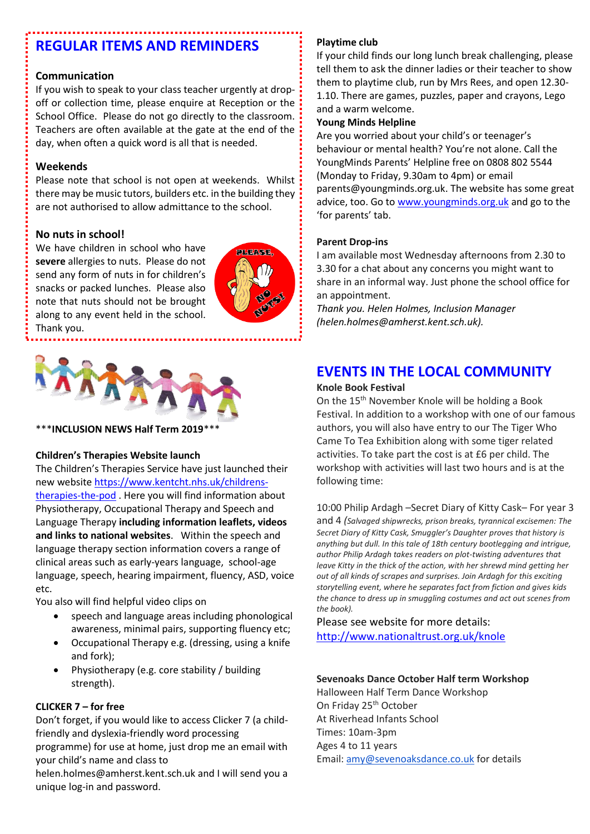# **REGULAR ITEMS AND REMINDERS**

#### **Communication**

If you wish to speak to your class teacher urgently at dropoff or collection time, please enquire at Reception or the School Office. Please do not go directly to the classroom. Teachers are often available at the gate at the end of the day, when often a quick word is all that is needed.

#### **Weekends**

Please note that school is not open at weekends. Whilst there may be music tutors, builders etc. in the building they are not authorised to allow admittance to the school.

### **No nuts in school!**

We have children in school who have **severe** allergies to nuts. Please do not send any form of nuts in for children's snacks or packed lunches. Please also note that nuts should not be brought along to any event held in the school. Thank you.





\*\*\***INCLUSION NEWS Half Term 2019**\*\*\*

#### **Children's Therapies Website launch**

The Children's Therapies Service have just launched their new website [https://www.kentcht.nhs.uk/childrens](https://www.kentcht.nhs.uk/childrens-therapies-the-pod)[therapies-the-pod](https://www.kentcht.nhs.uk/childrens-therapies-the-pod) . Here you will find information about Physiotherapy, Occupational Therapy and Speech and Language Therapy **including information leaflets, videos and links to national websites**. Within the speech and language therapy section information covers a range of clinical areas such as early-years language, school-age language, speech, hearing impairment, fluency, ASD, voice etc.

You also will find helpful video clips on

- speech and language areas including phonological awareness, minimal pairs, supporting fluency etc;
- Occupational Therapy e.g. (dressing, using a knife and fork);
- Physiotherapy (e.g. core stability / building strength).

### **CLICKER 7 – for free**

unique log-in and password.

Don't forget, if you would like to access Clicker 7 (a childfriendly and dyslexia-friendly word processing programme) for use at home, just drop me an email with your child's name and class to helen.holmes@amherst.kent.sch.uk and I will send you a

#### **Playtime club**

If your child finds our long lunch break challenging, please tell them to ask the dinner ladies or their teacher to show them to playtime club, run by Mrs Rees, and open 12.30- 1.10. There are games, puzzles, paper and crayons, Lego and a warm welcome.

#### **Young Minds Helpline**

Are you worried about your child's or teenager's behaviour or mental health? You're not alone. Call the [YoungMinds](http://www.youngminds.org.uk/for_parents/parent_helpline) Parents' Helpline free on 0808 802 5544 (Monday to Friday, 9.30am to 4pm) or email [parents@youngminds.org.uk.](mailto:parents@youngminds.org.uk) The website has some great advice, too. Go to [www.youngminds.org.uk](http://www.youngminds.org.uk/) and go to the 'for parents' tab.

#### **Parent Drop-ins**

I am available most Wednesday afternoons from 2.30 to 3.30 for a chat about any concerns you might want to share in an informal way. Just phone the school office for an appointment.

*Thank you. Helen Holmes, Inclusion Manager (helen.holmes@amherst.kent.sch.uk).*

### **EVENTS IN THE LOCAL COMMUNITY**

#### **Knole Book Festival**

On the 15<sup>th</sup> November Knole will be holding a Book Festival. In addition to a workshop with one of our famous authors, you will also have entry to our The Tiger Who Came To Tea Exhibition along with some tiger related activities. To take part the cost is at £6 per child. The workshop with activities will last two hours and is at the following time:

10:00 Philip Ardagh –Secret Diary of Kitty Cask– For year 3 and 4 *(Salvaged shipwrecks, prison breaks, tyrannical excisemen: The Secret Diary of Kitty Cask, Smuggler's Daughter proves that history is anything but dull. In this tale of 18th century bootlegging and intrigue, author Philip Ardagh takes readers on plot-twisting adventures that leave Kitty in the thick of the action, with her shrewd mind getting her out of all kinds of scrapes and surprises. Join Ardagh for this exciting storytelling event, where he separates fact from fiction and gives kids the chance to dress up in smuggling costumes and act out scenes from the book).*

Please see website for more details: <http://www.nationaltrust.org.uk/knole>

### **Sevenoaks Dance October Half term Workshop**

Halloween Half Term Dance Workshop On Friday 25<sup>th</sup> October At Riverhead Infants School Times: 10am-3pm Ages 4 to 11 years Email: [amy@sevenoaksdance.co.uk](mailto:amy@sevenoaksdance.co.uk) for details